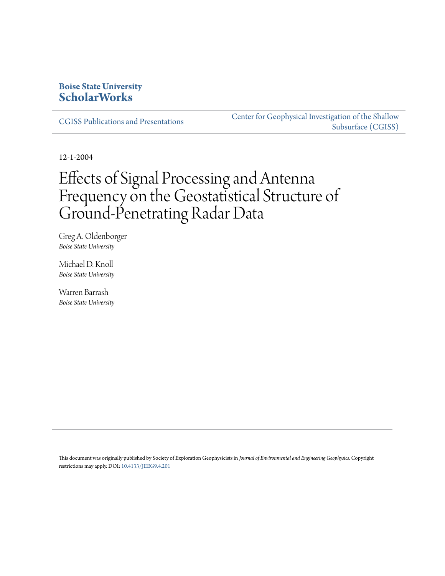## **Boise State University [ScholarWorks](https://scholarworks.boisestate.edu)**

[CGISS Publications and Presentations](https://scholarworks.boisestate.edu/cgiss_facpubs)

[Center for Geophysical Investigation of the Shallow](https://scholarworks.boisestate.edu/cgiss) [Subsurface \(CGISS\)](https://scholarworks.boisestate.edu/cgiss)

12-1-2004

# Effects of Signal Processing and Antenna Frequency on the Geostatistical Structure of Ground-Penetrating Radar Data

Greg A. Oldenborger *Boise State University*

Michael D. Knoll *Boise State University*

Warren Barrash *Boise State University*

This document was originally published by Society of Exploration Geophysicists in *Journal of Environmental and Engineering Geophysics.* Copyright restrictions may apply. DOI: [10.4133/JEEG9.4.201](http://dx.doi.org/10.4133/JEEG9.4.201)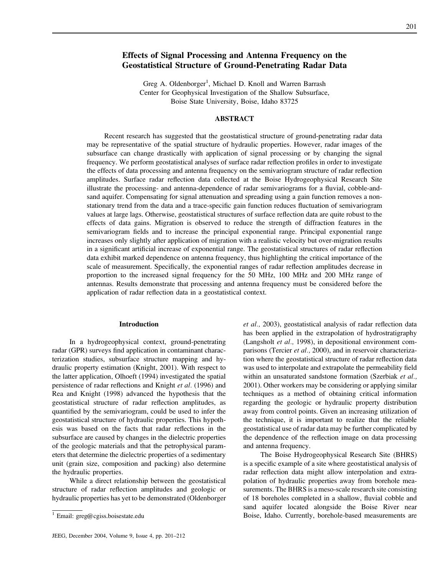### Effects of Signal Processing and Antenna Frequency on the Geostatistical Structure of Ground-Penetrating Radar Data

Greg A. Oldenborger<sup>1</sup>, Michael D. Knoll and Warren Barrash Center for Geophysical Investigation of the Shallow Subsurface, Boise State University, Boise, Idaho 83725

#### ABSTRACT

Recent research has suggested that the geostatistical structure of ground-penetrating radar data may be representative of the spatial structure of hydraulic properties. However, radar images of the subsurface can change drastically with application of signal processing or by changing the signal frequency. We perform geostatistical analyses of surface radar reflection profiles in order to investigate the effects of data processing and antenna frequency on the semivariogram structure of radar reflection amplitudes. Surface radar reflection data collected at the Boise Hydrogeophysical Research Site illustrate the processing- and antenna-dependence of radar semivariograms for a fluvial, cobble-andsand aquifer. Compensating for signal attenuation and spreading using a gain function removes a nonstationary trend from the data and a trace-specific gain function reduces fluctuation of semivariogram values at large lags. Otherwise, geostatistical structures of surface reflection data are quite robust to the effects of data gains. Migration is observed to reduce the strength of diffraction features in the semivariogram fields and to increase the principal exponential range. Principal exponential range increases only slightly after application of migration with a realistic velocity but over-migration results in a significant artificial increase of exponential range. The geostatistical structures of radar reflection data exhibit marked dependence on antenna frequency, thus highlighting the critical importance of the scale of measurement. Specifically, the exponential ranges of radar reflection amplitudes decrease in proportion to the increased signal frequency for the 50 MHz, 100 MHz and 200 MHz range of antennas. Results demonstrate that processing and antenna frequency must be considered before the application of radar reflection data in a geostatistical context.

#### Introduction

In a hydrogeophysical context, ground-penetrating radar (GPR) surveys find application in contaminant characterization studies, subsurface structure mapping and hydraulic property estimation (Knight, 2001). With respect to the latter application, Olhoeft (1994) investigated the spatial persistence of radar reflections and Knight et al. (1996) and Rea and Knight (1998) advanced the hypothesis that the geostatistical structure of radar reflection amplitudes, as quantified by the semivariogram, could be used to infer the geostatistical structure of hydraulic properties. This hypothesis was based on the facts that radar reflections in the subsurface are caused by changes in the dielectric properties of the geologic materials and that the petrophysical parameters that determine the dielectric properties of a sedimentary unit (grain size, composition and packing) also determine the hydraulic properties.

While a direct relationship between the geostatistical structure of radar reflection amplitudes and geologic or hydraulic properties has yet to be demonstrated (Oldenborger et al., 2003), geostatistical analysis of radar reflection data has been applied in the extrapolation of hydrostratigraphy (Langsholt et al., 1998), in depositional environment comparisons (Tercier et al., 2000), and in reservoir characterization where the geostatistical structure of radar reflection data was used to interpolate and extrapolate the permeability field within an unsaturated sandstone formation (Szerbiak et al., 2001). Other workers may be considering or applying similar techniques as a method of obtaining critical information regarding the geologic or hydraulic property distribution away from control points. Given an increasing utilization of the technique, it is important to realize that the reliable geostatistical use of radar data may be further complicated by the dependence of the reflection image on data processing and antenna frequency.

The Boise Hydrogeophysical Research Site (BHRS) is a specific example of a site where geostatistical analysis of radar reflection data might allow interpolation and extrapolation of hydraulic properties away from borehole measurements. The BHRS is a meso-scale research site consisting of 18 boreholes completed in a shallow, fluvial cobble and sand aquifer located alongside the Boise River near <sup>1</sup> Email: greg@cgiss.boisestate.edu Boise, Idaho. Currently, borehole-based measurements are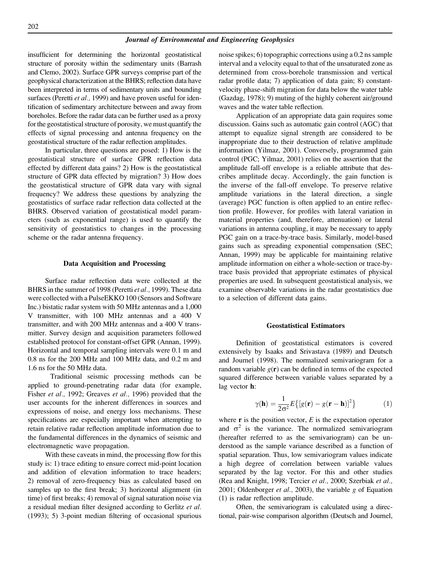#### Journal of Environmental and Engineering Geophysics

insufficient for determining the horizontal geostatistical structure of porosity within the sedimentary units (Barrash and Clemo, 2002). Surface GPR surveys comprise part of the geophysical characterization at the BHRS; reflection data have been interpreted in terms of sedimentary units and bounding surfaces (Peretti et al., 1999) and have proven useful for identification of sedimentary architecture between and away from boreholes. Before the radar data can be further used as a proxy for the geostatistical structure of porosity, we must quantify the effects of signal processing and antenna frequency on the geostatistical structure of the radar reflection amplitudes.

In particular, three questions are posed: 1) How is the geostatistical structure of surface GPR reflection data effected by different data gains? 2) How is the geostatistical structure of GPR data effected by migration? 3) How does the geostatistical structure of GPR data vary with signal frequency? We address these questions by analyzing the geostatistics of surface radar reflection data collected at the BHRS. Observed variation of geostatistical model parameters (such as exponential range) is used to quantify the sensitivity of geostatistics to changes in the processing scheme or the radar antenna frequency.

#### Data Acquisition and Processing

Surface radar reflection data were collected at the BHRS in the summer of 1998 (Peretti et al., 1999). These data were collected with a PulseEKKO 100 (Sensors and Software Inc.) bistatic radar system with 50 MHz antennas and a 1,000 V transmitter, with 100 MHz antennas and a 400 V transmitter, and with 200 MHz antennas and a 400 V transmitter. Survey design and acquisition parameters followed established protocol for constant-offset GPR (Annan, 1999). Horizontal and temporal sampling intervals were 0.1 m and 0.8 ns for the 200 MHz and 100 MHz data, and 0.2 m and 1.6 ns for the 50 MHz data.

Traditional seismic processing methods can be applied to ground-penetrating radar data (for example, Fisher et al., 1992; Greaves et al., 1996) provided that the user accounts for the inherent differences in sources and expressions of noise, and energy loss mechanisms. These specifications are especially important when attempting to retain relative radar reflection amplitude information due to the fundamental differences in the dynamics of seismic and electromagnetic wave propagation.

With these caveats in mind, the processing flow for this study is: 1) trace editing to ensure correct mid-point location and addition of elevation information to trace headers; 2) removal of zero-frequency bias as calculated based on samples up to the first break; 3) horizontal alignment (in time) of first breaks; 4) removal of signal saturation noise via a residual median filter designed according to Gerlitz et al. (1993); 5) 3-point median filtering of occasional spurious noise spikes; 6) topographic corrections using a 0.2 ns sample interval and a velocity equal to that of the unsaturated zone as determined from cross-borehole transmission and vertical radar profile data; 7) application of data gain; 8) constantvelocity phase-shift migration for data below the water table (Gazdag, 1978); 9) muting of the highly coherent air/ground waves and the water table reflection.

Application of an appropriate data gain requires some discussion. Gains such as automatic gain control (AGC) that attempt to equalize signal strength are considered to be inappropriate due to their destruction of relative amplitude information (Yilmaz, 2001). Conversely, programmed gain control (PGC; Yilmaz, 2001) relies on the assertion that the amplitude fall-off envelope is a reliable attribute that describes amplitude decay. Accordingly, the gain function is the inverse of the fall-off envelope. To preserve relative amplitude variations in the lateral direction, a single (average) PGC function is often applied to an entire reflection profile. However, for profiles with lateral variation in material properties (and, therefore, attenuation) or lateral variations in antenna coupling, it may be necessary to apply PGC gain on a trace-by-trace basis. Similarly, model-based gains such as spreading exponential compensation (SEC; Annan, 1999) may be applicable for maintaining relative amplitude information on either a whole-section or trace-bytrace basis provided that appropriate estimates of physical properties are used. In subsequent geostatistical analysis, we examine observable variations in the radar geostatistics due to a selection of different data gains.

#### Geostatistical Estimators

Definition of geostatistical estimators is covered extensively by Isaaks and Srivastava (1989) and Deutsch and Journel (1998). The normalized semivariogram for a random variable  $g(\mathbf{r})$  can be defined in terms of the expected squared difference between variable values separated by a lag vector h:

$$
\gamma(\mathbf{h}) = \frac{1}{2\sigma^2} E\{ [g(\mathbf{r}) - g(\mathbf{r} - \mathbf{h})]^2 \}
$$
 (1)

where  $\bf{r}$  is the position vector,  $\bf{E}$  is the expectation operator and  $\sigma^2$  is the variance. The normalized semivariogram (hereafter referred to as the semivariogram) can be understood as the sample variance described as a function of spatial separation. Thus, low semivariogram values indicate a high degree of correlation between variable values separated by the lag vector. For this and other studies (Rea and Knight, 1998; Tercier et al., 2000; Szerbiak et al., 2001; Oldenborger *et al.*, 2003), the variable g of Equation (1) is radar reflection amplitude.

Often, the semivariogram is calculated using a directional, pair-wise comparison algorithm (Deutsch and Journel,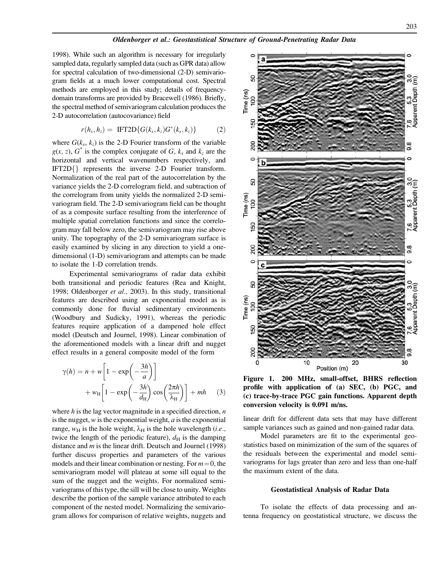1998). While such an algorithm is necessary for irregularly sampled data, regularly sampled data (such as GPR data) allow for spectral calculation of two-dimensional (2-D) semivariogram fields at a much lower computational cost. Spectral methods are employed in this study; details of frequencydomain transforms are provided by Bracewell (1986). Briefly, the spectral method of semivariogram calculation produces the 2-D autocorrelation (autocovariance) field

$$
r(h_x, h_z) = \text{IFT2D}\{G(k_x, k_z)G^*(k_x, k_z)\}\tag{2}
$$

where  $G(k_x, k_z)$  is the 2-D Fourier transform of the variable  $g(x, z)$ ,  $G^*$  is the complex conjugate of G,  $k_x$  and  $k_z$  are the horizontal and vertical wavenumbers respectively, and  $IFT2D\$  represents the inverse 2-D Fourier transform. Normalization of the real part of the autocorrelation by the variance yields the 2-D correlogram field, and subtraction of the correlogram from unity yields the normalized 2-D semivariogram field. The 2-D semivariogram field can be thought of as a composite surface resulting from the interference of multiple spatial correlation functions and since the correlogram may fall below zero, the semivariogram may rise above unity. The topography of the 2-D semivariogram surface is easily examined by slicing in any direction to yield a onedimensional (1-D) semivariogram and attempts can be made to isolate the 1-D correlation trends.

Experimental semivariograms of radar data exhibit both transitional and periodic features (Rea and Knight, 1998; Oldenborger et al., 2003). In this study, transitional features are described using an exponential model as is commonly done for fluvial sedimentary environments (Woodbury and Sudicky, 1991), whereas the periodic features require application of a dampened hole effect model (Deutsch and Journel, 1998). Linear combination of the aforementioned models with a linear drift and nugget effect results in a general composite model of the form

$$
\gamma(h) = n + w \left[ 1 - \exp\left( -\frac{3h}{a} \right) \right]
$$

$$
+ w_{\rm H} \left[ 1 - \exp\left( -\frac{3h}{d_{\rm H}} \right) \cos\left( \frac{2\pi h}{\lambda_{\rm H}} \right) \right] + mh \quad (3)
$$

where  $h$  is the lag vector magnitude in a specified direction,  $n$ is the nugget,  $w$  is the exponential weight,  $a$  is the exponential range,  $w_H$  is the hole weight,  $\lambda_H$  is the hole wavelength (*i.e.*, twice the length of the periodic feature),  $d_H$  is the damping distance and  $m$  is the linear drift. Deutsch and Journel (1998) further discuss properties and parameters of the various models and their linear combination or nesting. For  $m=0$ , the semivariogram model will plateau at some sill equal to the sum of the nugget and the weights. For normalized semivariograms of this type, the sill will be close to unity. Weights describe the portion of the sample variance attributed to each component of the nested model. Normalizing the semivariogram allows for comparison of relative weights, nuggets and



Figure 1. 200 MHz, small-offset, BHRS reflection profile with application of (a) SEC, (b) PGC, and (c) trace-by-trace PGC gain functions. Apparent depth conversion velocity is 0.091 m/ns.

linear drift for different data sets that may have different sample variances such as gained and non-gained radar data.

Model parameters are fit to the experimental geostatistics based on minimization of the sum of the squares of the residuals between the experimental and model semivariograms for lags greater than zero and less than one-half the maximum extent of the data.

#### Geostatistical Analysis of Radar Data

To isolate the effects of data processing and antenna frequency on geostatistical structure, we discuss the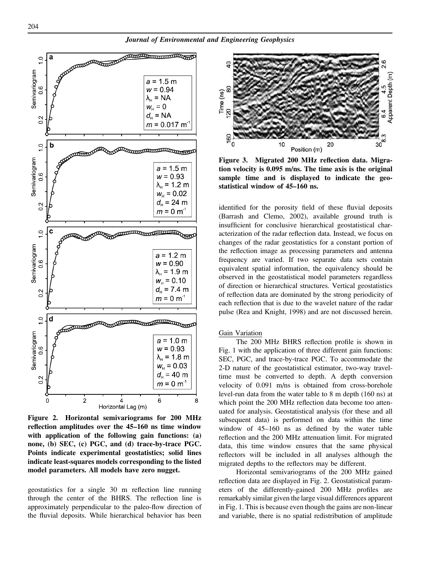

Horizontal Lag (m) Figure 2. Horizontal semivariograms for 200 MHz reflection amplitudes over the 45–160 ns time window with application of the following gain functions: (a) none, (b) SEC, (c) PGC, and (d) trace-by-trace PGC. Points indicate experimental geostatistics; solid lines indicate least-squares models corresponding to the listed model parameters. All models have zero nugget.

geostatistics for a single 30 m reflection line running through the center of the BHRS. The reflection line is approximately perpendicular to the paleo-flow direction of the fluvial deposits. While hierarchical behavior has been



Figure 3. Migrated 200 MHz reflection data. Migration velocity is 0.095 m/ns. The time axis is the original sample time and is displayed to indicate the geostatistical window of 45–160 ns.

identified for the porosity field of these fluvial deposits (Barrash and Clemo, 2002), available ground truth is insufficient for conclusive hierarchical geostatistical characterization of the radar reflection data. Instead, we focus on changes of the radar geostatistics for a constant portion of the reflection image as processing parameters and antenna frequency are varied. If two separate data sets contain equivalent spatial information, the equivalency should be observed in the geostatistical model parameters regardless of direction or hierarchical structures. Vertical geostatistics of reflection data are dominated by the strong periodicity of each reflection that is due to the wavelet nature of the radar pulse (Rea and Knight, 1998) and are not discussed herein.

#### Gain Variation

The 200 MHz BHRS reflection profile is shown in Fig. 1 with the application of three different gain functions: SEC, PGC, and trace-by-trace PGC. To accommodate the 2-D nature of the geostatistical estimator, two-way traveltime must be converted to depth. A depth conversion velocity of 0.091 m/ns is obtained from cross-borehole level-run data from the water table to 8 m depth (160 ns) at which point the 200 MHz reflection data become too attenuated for analysis. Geostatistical analysis (for these and all subsequent data) is performed on data within the time window of 45–160 ns as defined by the water table reflection and the 200 MHz attenuation limit. For migrated data, this time window ensures that the same physical reflectors will be included in all analyses although the migrated depths to the reflectors may be different.

Horizontal semivariograms of the 200 MHz gained reflection data are displayed in Fig. 2. Geostatistical parameters of the differently-gained 200 MHz profiles are remarkably similar given the large visual differences apparent in Fig. 1. This is because even though the gains are non-linear and variable, there is no spatial redistribution of amplitude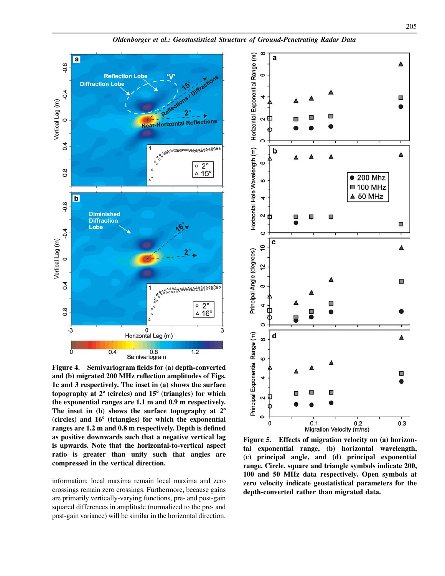

Figure 4. Semivariogram fields for (a) depth-converted and (b) migrated 200 MHz reflection amplitudes of Figs. 1c and 3 respectively. The inset in (a) shows the surface topography at  $2^{\circ}$  (circles) and  $15^{\circ}$  (triangles) for which the exponential ranges are 1.1 m and 0.9 m respectively. The inset in (b) shows the surface topography at  $2^{\circ}$  $(circles)$  and  $16^{\circ}$  (triangles) for which the exponential ranges are 1.2 m and 0.8 m respectively. Depth is defined as positive downwards such that a negative vertical lag is upwards. Note that the horizontal-to-vertical aspect ratio is greater than unity such that angles are compressed in the vertical direction.

information; local maxima remain local maxima and zero crossings remain zero crossings. Furthermore, because gains are primarily vertically-varying functions, pre- and post-gain squared differences in amplitude (normalized to the pre- and post-gain variance) will be similar in the horizontal direction.



Figure 5. Effects of migration velocity on (a) horizontal exponential range, (b) horizontal wavelength, (c) principal angle, and (d) principal exponential range. Circle, square and triangle symbols indicate 200, 100 and 50 MHz data respectively. Open symbols at zero velocity indicate geostatistical parameters for the depth-converted rather than migrated data.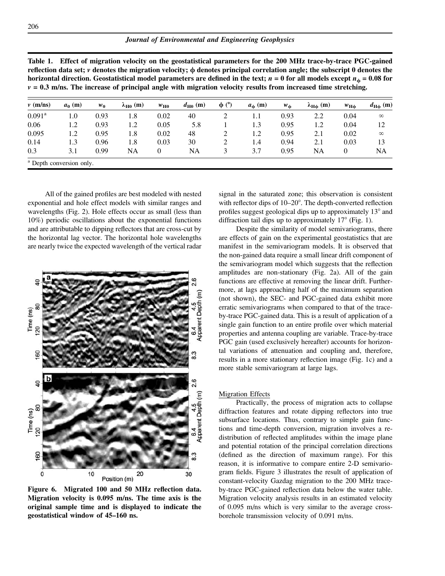| Journal of Environmental and Engineering Geophysics |
|-----------------------------------------------------|
|-----------------------------------------------------|

| $\nu$ (m/ns) | $a_0$ (m) | $w_0$ | $\lambda_{\rm H0}$ (m) | $W_{\rm H0}$ | $d_{\rm H0}$ (m) | $\phi$ (°) | $a_{\phi}$ (m) | $w_{\phi}$ | $\lambda_{\mathrm{H}\phi}$ (m) | $W_{H\phi}$ | $d_{\mathrm{H}\phi}$ (m) |
|--------------|-----------|-------|------------------------|--------------|------------------|------------|----------------|------------|--------------------------------|-------------|--------------------------|
| $0.091^a$    | 1.0       | 0.93  | 1.8                    | 0.02         | 40               |            | 1.1            | 0.93       | 2.2                            | 0.04        | $\infty$                 |
| 0.06         | 1.2       | 0.93  | 1.2                    | 0.05         | 5.8              |            | 1.3            | 0.95       | 1.2                            | 0.04        | 12                       |
| 0.095        | 1.2       | 0.95  | 1.8                    | 0.02         | 48               |            | 1.2            | 0.95       | 2.1                            | 0.02        | $\infty$                 |
| 0.14         | 1.3       | 0.96  | 1.8                    | 0.03         | 30               |            | 1.4            | 0.94       | 2.1                            | 0.03        | 13                       |
| 0.3          | 3.1       | 0.99  | NA                     | 0            | <b>NA</b>        |            | 3.7            | 0.95       | NA                             | 0           | <b>NA</b>                |

Table 1. Effect of migration velocity on the geostatistical parameters for the 200 MHz trace-by-trace PGC-gained reflection data set;  $\nu$  denotes the migration velocity;  $\phi$  denotes principal correlation angle; the subscript 0 denotes the horizontal direction. Geostatistical model parameters are defined in the text;  $n = 0$  for all models except  $n_{\phi} = 0.08$  for  $v = 0.3$  m/ns. The increase of principal angle with migration velocity results from increased time stretching.

All of the gained profiles are best modeled with nested exponential and hole effect models with similar ranges and wavelengths (Fig. 2). Hole effects occur as small (less than 10%) periodic oscillations about the exponential functions and are attributable to dipping reflectors that are cross-cut by the horizontal lag vector. The horizontal hole wavelengths are nearly twice the expected wavelength of the vertical radar



Figure 6. Migrated 100 and 50 MHz reflection data. Migration velocity is 0.095 m/ns. The time axis is the original sample time and is displayed to indicate the geostatistical window of 45–160 ns.

signal in the saturated zone; this observation is consistent with reflector dips of  $10-20^\circ$ . The depth-converted reflection profiles suggest geological dips up to approximately 13° and diffraction tail dips up to approximately  $17^{\circ}$  (Fig. 1).

Despite the similarity of model semivariograms, there are effects of gain on the experimental geostatistics that are manifest in the semivariogram models. It is observed that the non-gained data require a small linear drift component of the semivariogram model which suggests that the reflection amplitudes are non-stationary (Fig. 2a). All of the gain functions are effective at removing the linear drift. Furthermore, at lags approaching half of the maximum separation (not shown), the SEC- and PGC-gained data exhibit more erratic semivariograms when compared to that of the traceby-trace PGC-gained data. This is a result of application of a single gain function to an entire profile over which material properties and antenna coupling are variable. Trace-by-trace PGC gain (used exclusively hereafter) accounts for horizontal variations of attenuation and coupling and, therefore, results in a more stationary reflection image (Fig. 1c) and a more stable semivariogram at large lags.

#### Migration Effects

Practically, the process of migration acts to collapse diffraction features and rotate dipping reflectors into true subsurface locations. Thus, contrary to simple gain functions and time-depth conversion, migration involves a redistribution of reflected amplitudes within the image plane and potential rotation of the principal correlation directions (defined as the direction of maximum range). For this reason, it is informative to compare entire 2-D semivariogram fields. Figure 3 illustrates the result of application of constant-velocity Gazdag migration to the 200 MHz traceby-trace PGC-gained reflection data below the water table. Migration velocity analysis results in an estimated velocity of 0.095 m/ns which is very similar to the average crossborehole transmission velocity of 0.091 m/ns.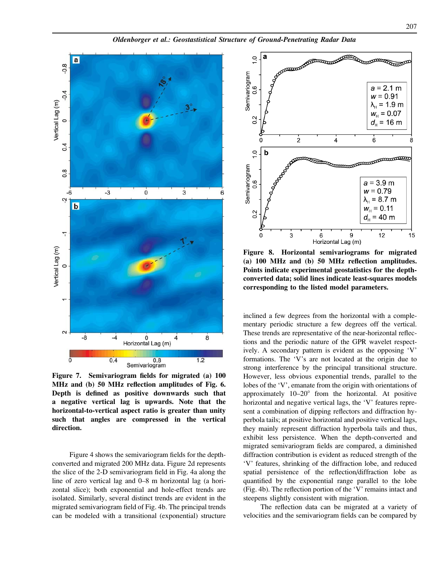



Figure 7. Semivariogram fields for migrated (a) 100 MHz and (b) 50 MHz reflection amplitudes of Fig. 6. Depth is defined as positive downwards such that a negative vertical lag is upwards. Note that the horizontal-to-vertical aspect ratio is greater than unity such that angles are compressed in the vertical direction.

Figure 4 shows the semivariogram fields for the depthconverted and migrated 200 MHz data. Figure 2d represents the slice of the 2-D semivariogram field in Fig. 4a along the line of zero vertical lag and 0–8 m horizontal lag (a horizontal slice); both exponential and hole-effect trends are isolated. Similarly, several distinct trends are evident in the migrated semivariogram field of Fig. 4b. The principal trends can be modeled with a transitional (exponential) structure



Figure 8. Horizontal semivariograms for migrated (a) 100 MHz and (b) 50 MHz reflection amplitudes. Points indicate experimental geostatistics for the depthconverted data; solid lines indicate least-squares models corresponding to the listed model parameters.

inclined a few degrees from the horizontal with a complementary periodic structure a few degrees off the vertical. These trends are representative of the near-horizontal reflections and the periodic nature of the GPR wavelet respectively. A secondary pattern is evident as the opposing 'V' formations. The 'V's are not located at the origin due to strong interference by the principal transitional structure. However, less obvious exponential trends, parallel to the lobes of the 'V', emanate from the origin with orientations of approximately  $10-20^\circ$  from the horizontal. At positive horizontal and negative vertical lags, the 'V' features represent a combination of dipping reflectors and diffraction hyperbola tails; at positive horizontal and positive vertical lags, they mainly represent diffraction hyperbola tails and thus, exhibit less persistence. When the depth-converted and migrated semivariogram fields are compared, a diminished diffraction contribution is evident as reduced strength of the 'V' features, shrinking of the diffraction lobe, and reduced spatial persistence of the reflection/diffraction lobe as quantified by the exponential range parallel to the lobe (Fig. 4b). The reflection portion of the 'V' remains intact and steepens slightly consistent with migration.

The reflection data can be migrated at a variety of velocities and the semivariogram fields can be compared by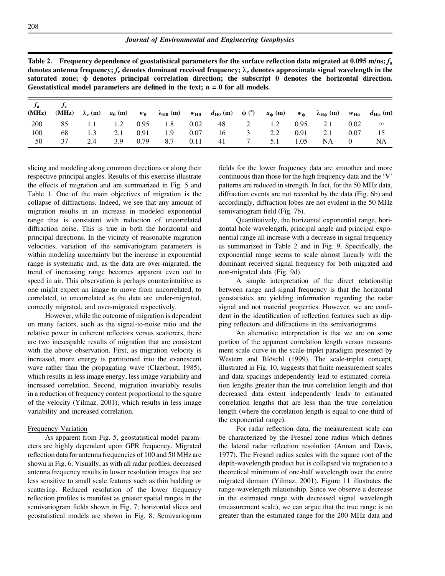| $f_{\bf a}$<br>(MHz) | $f_{\rm c}$<br>(MHz) | $\lambda_c$ (m) | $a_0$ (m) | $w_0$ | $\lambda_{\rm H0}$ (m) | $W_{\rm H0}$ | $d_{\rm H0}$ (m) | $\phi$ (°) | $a_{\phi}$ (m) | $W_{\phi}$ | $\lambda_{\rm H\phi}$ (m) | $W_{\rm H\Phi}$ | $d_{\rm H\phi}$ (m) |
|----------------------|----------------------|-----------------|-----------|-------|------------------------|--------------|------------------|------------|----------------|------------|---------------------------|-----------------|---------------------|
| 200                  | 85                   |                 | 1.2       | 0.95  | 1.8                    | 0.02         | 48               | 2          | 1.2            | 0.95       | 2.1                       | 0.02            | $\infty$            |
| 100                  | 68                   | 1.3             | 2.1       | 0.91  | 1.9                    | 0.07         | 16               | 3          | 2.2            | 0.91       | 2.1                       | 0.07            | 15                  |
| 50                   | 37                   | 2.4             | 3.9       | 0.79  | 8.7                    | 0.11         | 41               |            | 5.1            | 1.05       | NA                        | 0               | NA                  |

Table 2. Frequency dependence of geostatistical parameters for the surface reflection data migrated at 0.095 m/ns;  $f_a$ denotes antenna frequency;  $f_c$  denotes dominant received frequency;  $\lambda_c$  denotes approximate signal wavelength in the saturated zone;  $\phi$  denotes principal correlation direction; the subscript 0 denotes the horizontal direction. Geostatistical model parameters are defined in the text;  $n = 0$  for all models.

slicing and modeling along common directions or along their respective principal angles. Results of this exercise illustrate the effects of migration and are summarized in Fig. 5 and Table 1. One of the main objectives of migration is the collapse of diffractions. Indeed, we see that any amount of migration results in an increase in modeled exponential range that is consistent with reduction of uncorrelated diffraction noise. This is true in both the horizontal and principal directions. In the vicinity of reasonable migration velocities, variation of the semivariogram parameters is within modeling uncertainty but the increase in exponential range is systematic and, as the data are over-migrated, the trend of increasing range becomes apparent even out to speed in air. This observation is perhaps counterintuitive as one might expect an image to move from uncorrelated, to correlated, to uncorrelated as the data are under-migrated, correctly migrated, and over-migrated respectively.

However, while the outcome of migration is dependent on many factors, such as the signal-to-noise ratio and the relative power in coherent reflectors versus scatterers, there are two inescapable results of migration that are consistent with the above observation. First, as migration velocity is increased, more energy is partitioned into the evanescent wave rather than the propagating wave (Claerbout, 1985), which results in less image energy, less image variability and increased correlation. Second, migration invariably results in a reduction of frequency content proportional to the square of the velocity (Yilmaz, 2001), which results in less image variability and increased correlation.

#### Frequency Variation

As apparent from Fig. 5, geostatistical model parameters are highly dependent upon GPR frequency. Migrated reflection data for antenna frequencies of 100 and 50 MHz are shown in Fig. 6. Visually, as with all radar profiles, decreased antenna frequency results in lower resolution images that are less sensitive to small scale features such as thin bedding or scattering. Reduced resolution of the lower frequency reflection profiles is manifest as greater spatial ranges in the semivariogram fields shown in Fig. 7; horizontal slices and geostatistical models are shown in Fig. 8. Semivariogram

fields for the lower frequency data are smoother and more continuous than those for the high frequency data and the 'V' patterns are reduced in strength. In fact, for the 50 MHz data, diffraction events are not recorded by the data (Fig. 6b) and accordingly, diffraction lobes are not evident in the 50 MHz semivariogram field (Fig. 7b).

Quantitatively, the horizontal exponential range, horizontal hole wavelength, principal angle and principal exponential range all increase with a decrease in signal frequency as summarized in Table 2 and in Fig. 9. Specifically, the exponential range seems to scale almost linearly with the dominant received signal frequency for both migrated and non-migrated data (Fig. 9d).

A simple interpretation of the direct relationship between range and signal frequency is that the horizontal geostatistics are yielding information regarding the radar signal and not material properties. However, we are confident in the identification of reflection features such as dipping reflectors and diffractions in the semivariograms.

An alternative interpretation is that we are on some portion of the apparent correlation length versus measurement scale curve in the scale-triplet paradigm presented by Western and Blöschl (1999). The scale-triplet concept, illustrated in Fig. 10, suggests that finite measurement scales and data spacings independently lead to estimated correlation lengths greater than the true correlation length and that decreased data extent independently leads to estimated correlation lengths that are less than the true correlation length (where the correlation length is equal to one-third of the exponential range).

For radar reflection data, the measurement scale can be characterized by the Fresnel zone radius which defines the lateral radar reflection resolution (Annan and Davis, 1977). The Fresnel radius scales with the square root of the depth-wavelength product but is collapsed via migration to a theoretical minimum of one-half wavelength over the entire migrated domain (Yilmaz, 2001). Figure 11 illustrates the range-wavelength relationship. Since we observe a decrease in the estimated range with decreased signal wavelength (measurement scale), we can argue that the true range is no greater than the estimated range for the 200 MHz data and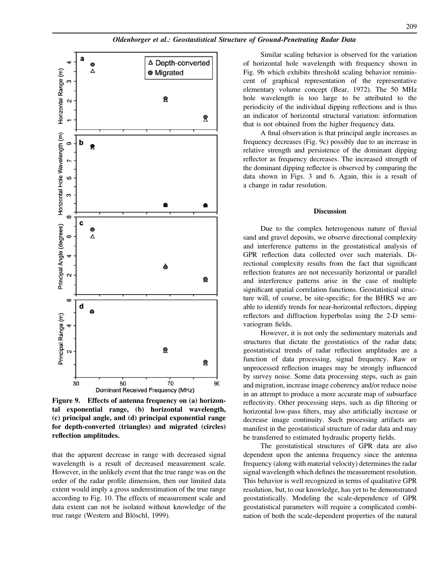

Figure 9. Effects of antenna frequency on (a) horizontal exponential range, (b) horizontal wavelength, (c) principal angle, and (d) principal exponential range for depth-converted (triangles) and migrated (circles) reflection amplitudes.

that the apparent decrease in range with decreased signal wavelength is a result of decreased measurement scale. However, in the unlikely event that the true range was on the order of the radar profile dimension, then our limited data extent would imply a gross underestimation of the true range according to Fig. 10. The effects of measurement scale and data extent can not be isolated without knowledge of the true range (Western and Blöschl, 1999).

Similar scaling behavior is observed for the variation of horizontal hole wavelength with frequency shown in Fig. 9b which exhibits threshold scaling behavior reminiscent of graphical representation of the representative elementary volume concept (Bear, 1972). The 50 MHz hole wavelength is too large to be attributed to the periodicity of the individual dipping reflections and is thus an indicator of horizontal structural variation: information that is not obtained from the higher frequency data.

A final observation is that principal angle increases as frequency decreases (Fig. 9c) possibly due to an increase in relative strength and persistence of the dominant dipping reflector as frequency decreases. The increased strength of the dominant dipping reflector is observed by comparing the data shown in Figs. 3 and 6. Again, this is a result of a change in radar resolution.

#### Discussion

Due to the complex heterogenous nature of fluvial sand and gravel deposits, we observe directional complexity and interference patterns in the geostatistical analysis of GPR reflection data collected over such materials. Directional complexity results from the fact that significant reflection features are not necessarily horizontal or parallel and interference patterns arise in the case of multiple significant spatial correlation functions. Geostatistical structure will, of course, be site-specific; for the BHRS we are able to identify trends for near-horizontal reflectors, dipping reflectors and diffraction hyperbolas using the 2-D semivariogram fields.

However, it is not only the sedimentary materials and structures that dictate the geostatistics of the radar data; geostatistical trends of radar reflection amplitudes are a function of data processing, signal frequency. Raw or unprocessed reflection images may be strongly influenced by survey noise. Some data processing steps, such as gain and migration, increase image coherency and/or reduce noise in an attempt to produce a more accurate map of subsurface reflectivity. Other processing steps, such as dip filtering or horizontal low-pass filters, may also artificially increase or decrease image continuity. Such processing artifacts are manifest in the geostatistical structure of radar data and may be transferred to estimated hydraulic property fields.

The geostatistical structures of GPR data are also dependent upon the antenna frequency since the antenna frequency (along with material velocity) determines the radar signal wavelength which defines the measurement resolution. This behavior is well recognized in terms of qualitative GPR resolution, but, to our knowledge, has yet to be demonstrated geostatistically. Modeling the scale-dependence of GPR geostatistical parameters will require a complicated combination of both the scale-dependent properties of the natural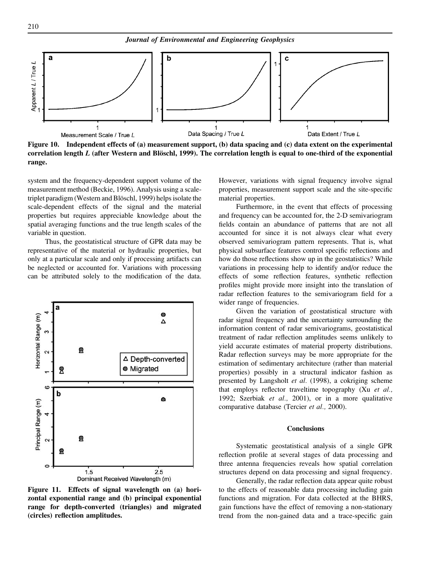

Figure 10. Independent effects of (a) measurement support, (b) data spacing and (c) data extent on the experimental correlation length  $L$  (after Western and Blöschl, 1999). The correlation length is equal to one-third of the exponential range.

system and the frequency-dependent support volume of the measurement method (Beckie, 1996). Analysis using a scaletriplet paradigm (Western and Blöschl, 1999) helps isolate the scale-dependent effects of the signal and the material properties but requires appreciable knowledge about the spatial averaging functions and the true length scales of the variable in question.

Thus, the geostatistical structure of GPR data may be representative of the material or hydraulic properties, but only at a particular scale and only if processing artifacts can be neglected or accounted for. Variations with processing can be attributed solely to the modification of the data.



Figure 11. Effects of signal wavelength on (a) horizontal exponential range and (b) principal exponential range for depth-converted (triangles) and migrated (circles) reflection amplitudes.

However, variations with signal frequency involve signal properties, measurement support scale and the site-specific material properties.

Furthermore, in the event that effects of processing and frequency can be accounted for, the 2-D semivariogram fields contain an abundance of patterns that are not all accounted for since it is not always clear what every observed semivariogram pattern represents. That is, what physical subsurface features control specific reflections and how do those reflections show up in the geostatistics? While variations in processing help to identify and/or reduce the effects of some reflection features, synthetic reflection profiles might provide more insight into the translation of radar reflection features to the semivariogram field for a wider range of frequencies.

Given the variation of geostatistical structure with radar signal frequency and the uncertainty surrounding the information content of radar semivariograms, geostatistical treatment of radar reflection amplitudes seems unlikely to yield accurate estimates of material property distributions. Radar reflection surveys may be more appropriate for the estimation of sedimentary architecture (rather than material properties) possibly in a structural indicator fashion as presented by Langsholt et al. (1998), a cokriging scheme that employs reflector traveltime topography (Xu et al., 1992; Szerbiak et al., 2001), or in a more qualitative comparative database (Tercier et al., 2000).

#### **Conclusions**

Systematic geostatistical analysis of a single GPR reflection profile at several stages of data processing and three antenna frequencies reveals how spatial correlation structures depend on data processing and signal frequency.

Generally, the radar reflection data appear quite robust to the effects of reasonable data processing including gain functions and migration. For data collected at the BHRS, gain functions have the effect of removing a non-stationary trend from the non-gained data and a trace-specific gain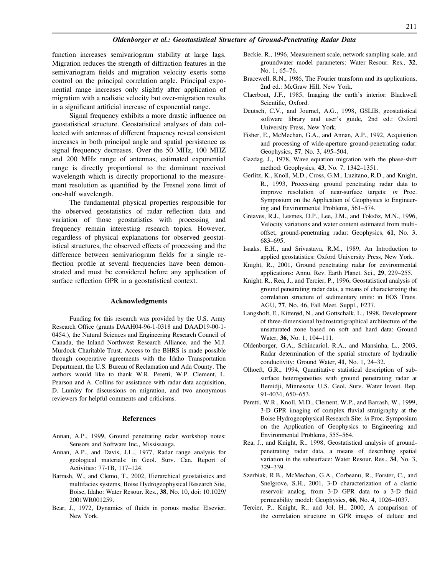#### Oldenborger et al.: Geostastistical Structure of Ground-Penetrating Radar Data

function increases semivariogram stability at large lags. Migration reduces the strength of diffraction features in the semivariogram fields and migration velocity exerts some control on the principal correlation angle. Principal exponential range increases only slightly after application of migration with a realistic velocity but over-migration results in a significant artificial increase of exponential range.

Signal frequency exhibits a more drastic influence on geostatistical structure. Geostatistical analyses of data collected with antennas of different frequency reveal consistent increases in both principal angle and spatial persistence as signal frequency decreases. Over the 50 MHz, 100 MHZ and 200 MHz range of antennas, estimated exponential range is directly proportional to the dominant received wavelength which is directly proportional to the measurement resolution as quantified by the Fresnel zone limit of one-half wavelength.

The fundamental physical properties responsible for the observed geostatistics of radar reflection data and variation of those geostatistics with processing and frequency remain interesting research topics. However, regardless of physical explanations for observed geostatistical structures, the observed effects of processing and the difference between semivariogram fields for a single reflection profile at several frequencies have been demonstrated and must be considered before any application of surface reflection GPR in a geostatistical context.

#### Acknowledgments

Funding for this research was provided by the U.S. Army Research Office (grants DAAH04-96-1-0318 and DAAD19-00-1- 0454.), the Natural Sciences and Engineering Research Council of Canada, the Inland Northwest Research Alliance, and the M.J. Murdock Charitable Trust. Access to the BHRS is made possible through cooperative agreements with the Idaho Transportation Department, the U.S. Bureau of Reclamation and Ada County. The authors would like to thank W.R. Peretti, W.P. Clement, L. Pearson and A. Collins for assistance with radar data acquisition, D. Lumley for discussions on migration, and two anonymous reviewers for helpful comments and criticisms.

#### References

- Annan, A.P., 1999, Ground penetrating radar workshop notes: Sensors and Software Inc., Mississauga.
- Annan, A.P., and Davis, J.L., 1977, Radar range analysis for geological materials: in Geol. Surv. Can. Report of Activities: 77-1B, 117–124.
- Barrash, W., and Clemo, T., 2002, Hierarchical geostatistics and multifacies systems, Boise Hydrogeophysical Research Site, Boise, Idaho: Water Resour. Res., 38, No. 10, doi: 10.1029/ 2001WR001259.
- Bear, J., 1972, Dynamics of fluids in porous media: Elsevier, New York.
- Beckie, R., 1996, Measurement scale, network sampling scale, and groundwater model parameters: Water Resour. Res., 32, No. 1, 65–76.
- Bracewell, R.N., 1986, The Fourier transform and its applications, 2nd ed.: McGraw Hill, New York.
- Claerbout, J.F., 1985, Imaging the earth's interior: Blackwell Scientific, Oxford.
- Deutsch, C.V., and Journel, A.G., 1998, GSLIB, geostatistical software library and user's guide, 2nd ed.: Oxford University Press, New York.
- Fisher, E., McMechan, G.A., and Annan, A.P., 1992, Acquisition and processing of wide-aperture ground-penetrating radar: Geophysics, 57, No. 3, 495–504.
- Gazdag, J., 1978, Wave equation migration with the phase-shift method: Geophysics, 43, No. 7, 1342–1351.
- Gerlitz, K., Knoll, M.D., Cross, G.M., Luzitano, R.D., and Knight, R., 1993, Processing ground penetrating radar data to improve resolution of near-surface targets: in Proc. Symposium on the Application of Geophysics to Engineering and Environmental Problems, 561–574.
- Greaves, R.J., Lesmes, D.P., Lee, J.M., and Toksöz, M.N., 1996, Velocity variations and water content estimated from multioffset, ground-penetrating radar: Geophysics, 61, No. 3, 683–695.
- Isaaks, E.H., and Srivastava, R.M., 1989, An Introduction to applied geostatistics: Oxford University Press, New York.
- Knight, R., 2001, Ground penetrating radar for environmental applications: Annu. Rev. Earth Planet. Sci., 29, 229–255.
- Knight, R., Rea, J., and Tercier, P., 1996, Geostatistical analysis of ground penetrating radar data, a means of characterizing the correlation structure of sedimentary units: in EOS Trans. AGU, 77, No. 46, Fall Meet. Suppl., F237.
- Langsholt, E., Kitterød, N., and Gottschalk, L., 1998, Development of three-dimensional hydrostratigraphical architecture of the unsaturated zone based on soft and hard data: Ground Water, 36, No. 1, 104–111.
- Oldenborger, G.A., Schincariol, R.A., and Mansinha, L., 2003, Radar determination of the spatial structure of hydraulic conductivity: Ground Water, 41, No. 1, 24–32.
- Olhoeft, G.R., 1994, Quantitative statistical description of subsurface heterogeneities with ground penetrating radar at Bemidji, Minnesota: U.S. Geol. Surv. Water Invest. Rep. 91-4034, 650–653.
- Peretti, W.R., Knoll, M.D., Clement, W.P., and Barrash, W., 1999, 3-D GPR imaging of complex fluvial stratigraphy at the Boise Hydrogeophysical Research Site: in Proc. Symposium on the Application of Geophysics to Engineering and Environmental Problems, 555–564.
- Rea, J., and Knight, R., 1998, Geostatistical analysis of groundpenetrating radar data, a means of describing spatial variation in the subsurface: Water Resour. Res., 34, No. 3, 329–339.
- Szerbiak, R.B., McMechan, G.A., Corbeanu, R., Forster, C., and Snelgrove, S.H., 2001, 3-D characterization of a clastic reservoir analog, from 3-D GPR data to a 3-D fluid permeability model: Geophysics, 66, No. 4, 1026–1037.
- Tercier, P., Knight, R., and Jol, H., 2000, A comparison of the correlation structure in GPR images of deltaic and